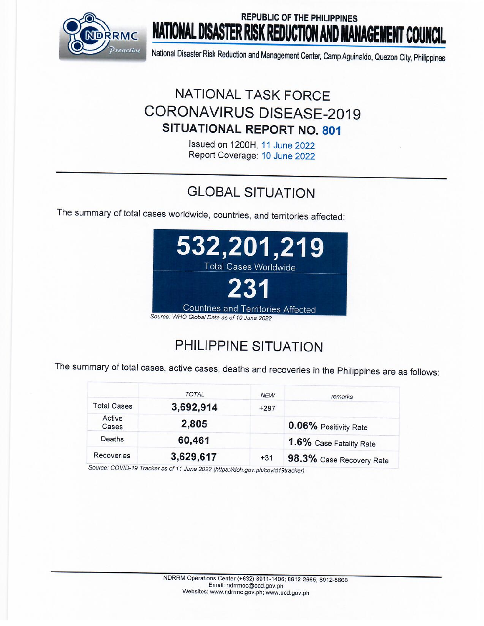

## **REPUBLIC OF THE PHILIPPINES NATIONAL DISASTER RISK REDUCTION AND MANAGEMENT COUNCIL**

National Disaster Risk Reduction and Management Center, Camp Aguinaldo, Quezon City, Philippines

## **NATIONAL TASK FORCE CORONAVIRUS DISEASE-2019** SITUATIONAL REPORT NO. 801

Issued on 1200H, 11 June 2022 Report Coverage: 10 June 2022

# **GLOBAL SITUATION**

The summary of total cases worldwide, countries, and territories affected:



# PHILIPPINE SITUATION

The summary of total cases, active cases, deaths and recoveries in the Philippines are as follows:

|                    | <b>TOTAL</b> | <b>NEW</b> | remarks                  |
|--------------------|--------------|------------|--------------------------|
| <b>Total Cases</b> | 3,692,914    | $+297$     |                          |
| Active<br>Cases    | 2,805        |            | 0.06% Positivity Rate    |
| Deaths             | 60,461       |            | 1.6% Case Fatality Rate  |
| Recoveries         | 3,629,617    | $+31$      | 98.3% Case Recovery Rate |

Source: COVID-19 Tracker as of 11 June 2022 (https://doh.gov.ph/covid19tracker)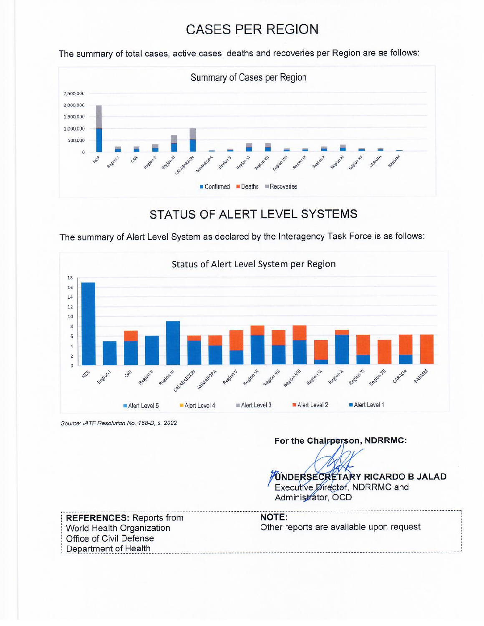## **CASES PER REGION**

The summary of total cases, active cases, deaths and recoveries per Region are as follows:



### STATUS OF ALERT LEVEL SYSTEMS

The summary of Alert Level System as declared by the Interagency Task Force is as follows:



Source: IATF Resolution No. 168-D, s. 2022

### For the Chairperson, NDRRMC:

**UNDERSECRETARY RICARDO B JALAD** Executive Director, NDRRMC and Administrator, OCD

**REFERENCES: Reports from** World Health Organization Office of Civil Defense Department of Health

**NOTE:** Other reports are available upon request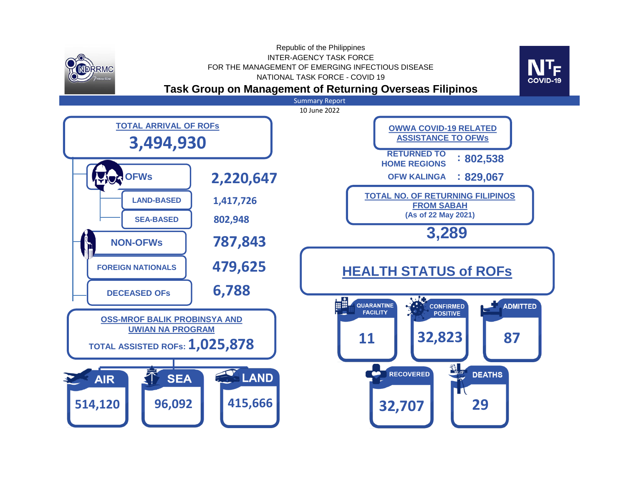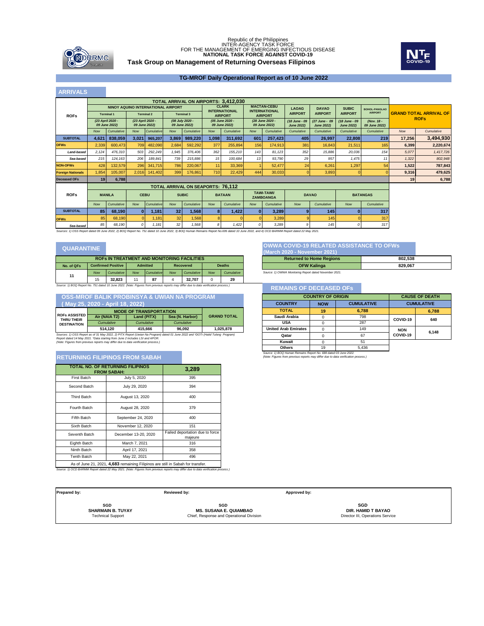

### **Task Group on Management of Returning Overseas Filipinos** Republic of the Philippines<br>INTER-AGENCY TASK FORCE<br>FOR THE MANAGEMENT OF EMERGING INFECTIOUS DISEASE<br>**NATIONAL TASK FORCE AGAINST COVID-19**



#### **TG-MROF Daily Operational Report as of 10 June 2022**

#### **ARRIVALS**

|                          | <b>TOTAL ARRIVAL ON AIRPORTS: 3.412.030</b> |                                    |                                   |                   |                 |                                  |                                      |                                  |                                                            |                                       |                                    |                                    |                                    |                             |                                              |            |
|--------------------------|---------------------------------------------|------------------------------------|-----------------------------------|-------------------|-----------------|----------------------------------|--------------------------------------|----------------------------------|------------------------------------------------------------|---------------------------------------|------------------------------------|------------------------------------|------------------------------------|-----------------------------|----------------------------------------------|------------|
|                          |                                             | NINOY AQUINO INTERNATIONAL AIRPORT |                                   |                   |                 |                                  | <b>CLARK</b><br><b>INTERNATIONAL</b> |                                  | <b>MACTAN-CEBU</b><br><b>LAOAG</b><br><b>INTERNATIONAL</b> |                                       | <b>SUBIC</b><br><b>DAVAO</b>       |                                    | <b>BOHOL-PANGLAO</b>               |                             |                                              |            |
| <b>ROFs</b>              |                                             | <b>Terminal 1</b>                  |                                   | <b>Terminal 2</b> |                 | <b>Terminal 3</b>                |                                      | <b>AIRPORT</b>                   |                                                            | <b>AIRPORT</b>                        | <b>AIRPORT</b>                     | <b>AIRPORT</b>                     | <b>AIRPORT</b>                     | <b>AIRPORT</b>              | <b>GRAND TOTAL ARRIVAL OF</b><br><b>ROFs</b> |            |
|                          |                                             | (23 April 2020 -<br>09 June 2022)  | (23 April 2020 -<br>09 June 2022) |                   |                 | (08 July 2020 -<br>09 June 2022) |                                      | (05 June 2020 -<br>09 June 2022) |                                                            | (28 June 2020 -<br>09 June 2022)      | (18 June - 09<br><b>June 2022)</b> | (27 June - 09<br><b>June 2022)</b> | (18 June - 09<br><b>June 2022)</b> | (Nov. 18 -<br>09 June 2022) |                                              |            |
|                          | <b>Now</b>                                  | Cumulative                         | <b>Now</b>                        | Cumulative        | <b>Now</b>      | Cumulative                       | Now                                  | Cumulative                       | <b>Now</b>                                                 | Cumulative                            | Cumulative                         | Cumulative                         | Cumulative                         | Cumulative                  | Now                                          | Cumulative |
| <b>SUBTOTAL</b>          | 4,621                                       | 838,059                            | 3,021                             | 965,207           | 3,869           | 989,220                          | 1,098                                | 311,692                          | 601                                                        | 257,423                               | 405                                | 26,997                             | 22,808                             | 219                         | 17,256                                       | 3,494,930  |
| <b>OFWs</b>              | 2,339                                       | 600,473                            | 709                               | 482,090           | 2,684           | 592,292                          | 377                                  | 255.894                          | 156                                                        | 174.913                               | 381                                | 16,843                             | 21,511                             | 165                         | 6,399                                        | 2,220,674  |
| Land-based               | 2,124                                       | 476,310                            | 503                               | 292,249           | 1,945           | 376,406                          | 362                                  | 155,210                          | 143                                                        | 81,123                                | 352                                | 15,886                             | 20,036                             | 154                         | 5,077                                        | 1,417,726  |
| Sea-based                | 215                                         | 124, 163                           | 206                               | 189.841           | 739             | 215,886                          | 15                                   | 100,684                          | 13                                                         | 93,790                                | 29                                 | 957                                | 1.475                              | 11                          | 1,322                                        | 802,948    |
| <b>NON-OFWs</b>          | 428                                         | 132,579                            | 296                               | 341.715           | 786             | 220,067                          | 11                                   | 33,369                           |                                                            | 52,477                                | 24                                 | 6,261                              | 1,297                              | 54                          | 1,522                                        | 787,843    |
| <b>Foreign Nationals</b> | 1,854                                       | 105,007                            | 2,016                             | 141,402           | 399             | 176,861                          | 710                                  | 22,429                           | 444                                                        | 30,033                                |                                    | 3,893                              |                                    |                             | 9,316                                        | 479,625    |
| <b>Deceased OFs</b>      | 19 <sup>1</sup>                             | 6,788                              |                                   |                   |                 |                                  |                                      |                                  |                                                            |                                       | 19                                 | 6,788                              |                                    |                             |                                              |            |
|                          | <b>TOTAL ARRIVAL ON SEAPORTS: 76.112</b>    |                                    |                                   |                   |                 |                                  |                                      |                                  |                                                            |                                       |                                    |                                    |                                    |                             |                                              |            |
| <b>ROFs</b>              |                                             | <b>MANILA</b>                      | <b>CEBU</b>                       |                   |                 | <b>SUBIC</b>                     |                                      | <b>BATAAN</b>                    |                                                            | <b>TAWI-TAWI/</b><br><b>ZAMBOANGA</b> |                                    | <b>DAVAO</b><br><b>BATANGAS</b>    |                                    |                             |                                              |            |
|                          | <b>Now</b>                                  | Cumulative                         | Now                               | Cumulative        | Now             | Cumulative                       | Now                                  | Cumulative                       | <b>Now</b>                                                 | Cumulative                            | <b>Now</b>                         | Cumulative                         | <b>Now</b>                         | Cumulative                  |                                              |            |
| <b>SUBTOTAL</b>          | 85                                          | 68,190                             | $\Omega$                          | 1.181             | 32 <sub>1</sub> | 1,568                            | 8                                    | 1,422                            | $\mathbf{0}$                                               | 3,289                                 | 9                                  | 145                                |                                    | 317                         |                                              |            |
| <b>OFWs</b>              | 85                                          | 68,190                             |                                   | 1,181             | 32              | 1,568                            |                                      |                                  | $\Omega$                                                   | 3,289                                 |                                    | 145                                |                                    | 317                         |                                              |            |
| Sea-based                | 85                                          | 68.190                             | n                                 | 1.181             | 32              | 1.568                            | 8                                    | 1,422                            | $\Omega$                                                   | 3.289                                 | 9                                  | 145                                |                                    | 317                         |                                              |            |

*Sources: 1) OSS Report dated 09 June 2022, 2) BOQ Report No. 751 dated 10 June 2022, 3) BOQ Human Remains Report No.695 dated 10 June 2022, and 4) OCD BARMM Report dated 22 May 2021.*

#### **QUARANTINE**

**ROFs ASSISTED** 

| <b>ROFS IN TREATMENT AND MONITORING FACILITIES</b>                                                                                        |            |            |            |            |            |            |            |            |  |
|-------------------------------------------------------------------------------------------------------------------------------------------|------------|------------|------------|------------|------------|------------|------------|------------|--|
| <b>Confirmed Positive</b><br><b>Admitted</b><br><b>Deaths</b><br>Recovered<br>No. of OFs                                                  |            |            |            |            |            |            |            |            |  |
| 11                                                                                                                                        | <b>Now</b> | Cumulative | <b>Now</b> | Cumulative | <b>Now</b> | Cumulative | <b>Now</b> | Cumulative |  |
|                                                                                                                                           | 15         | 32.823     | 11         | 87         |            | 32.707     |            | 29         |  |
| Corners 4) ROO Denned No. 754 data d.40, from 2022. (Mater Figures from non-dores provide mars differential to data realization processor |            |            |            |            |            |            |            |            |  |

#### **Returned to Home Regions Returned to Home Regions 802,538 OFW Kalinga 829,067** *Source: 1) OWWA Monitoring Report dated November 2021.*

**(March 2020 - Nov** 

**OWWA COVID-19 RELATED ASSISTANCE TO OFWs**

#### *Source: 1) BOQ Report No. 751 dated 10 June 2022. (Note: Figures from previous reports may differ due to data verification process.)* **REMAINS OF DECEASED OFs**

| <b>COUNTRY OF ORIGIN</b>                                                                                                                              | <b>CAUSE OF DEATH</b> |       |            |       |  |
|-------------------------------------------------------------------------------------------------------------------------------------------------------|-----------------------|-------|------------|-------|--|
| <b>COUNTRY</b>                                                                                                                                        | <b>CUMULATIVE</b>     |       |            |       |  |
| <b>TOTAL</b>                                                                                                                                          | 19                    | 6.788 |            | 6,788 |  |
| Saudi Arabia                                                                                                                                          | Ω                     | 798   | COVID-19   | 640   |  |
| <b>USA</b>                                                                                                                                            | O                     | 287   |            |       |  |
| <b>United Arab Emirates</b>                                                                                                                           | O                     | 149   | <b>NON</b> | 6.148 |  |
| Qatar                                                                                                                                                 | O                     | 67    | COVID-19   |       |  |
| Kuwait                                                                                                                                                | n                     | 51    |            |       |  |
| <b>Others</b>                                                                                                                                         | 19                    | 5.436 |            |       |  |
| Source: 1) BOQ Human Remains Report No. 688 dated 03 June 2022.<br>(Note: Figures from previous reports may differ due to data verification process.) |                       |       |            |       |  |

**Approved by:** 

*Cumulative Cumulative* **THRU THEIR DESTINATION** *Cumulative*

**415,666 96,092 1,025,878** Sources: 1) OSS Report as of 31 May 2022, 2) PITX Report (Uwian Na Program) dated 01 June 2022 and "DOTr (Hatid Tulong Program)<br>Report dated 14 May 2021. "Data starting from June 2 includes LSI and APOR.<br>(Note: Figures fr **514,120**

**MODE OF TRANSPORTATION Air (NAIA T2) Land (PITX) Sea (N. Harbor)**

 **OSS-MROF BALIK PROBINSYA & UWIAN NA PROGRAM**

#### **RETURNING FILIPINOS FROM SABAH**

 **( May 25, 2020 - April 18, 2022)**

| <b>TOTAL NO. OF RETURNING FILIPINOS</b><br><b>FROM SABAH:</b>                   | 3,289                |                                            |  |  |  |  |  |
|---------------------------------------------------------------------------------|----------------------|--------------------------------------------|--|--|--|--|--|
| First Batch                                                                     | July 5, 2020         | 395                                        |  |  |  |  |  |
| Second Batch                                                                    | July 29, 2020        | 394                                        |  |  |  |  |  |
| Third Batch                                                                     | August 13, 2020      | 400                                        |  |  |  |  |  |
| Fourth Batch                                                                    | August 28, 2020      | 379                                        |  |  |  |  |  |
| Fifth Batch                                                                     | September 24, 2020   | 400                                        |  |  |  |  |  |
| Sixth Batch                                                                     | November 12, 2020    | 151                                        |  |  |  |  |  |
| Seventh Batch                                                                   | December 13-20, 2020 | Failed deportation due to force<br>majeure |  |  |  |  |  |
| Eighth Batch                                                                    | March 7, 2021        | 316                                        |  |  |  |  |  |
| Ninth Batch                                                                     | April 17, 2021       | 358                                        |  |  |  |  |  |
| <b>Tenth Batch</b>                                                              | May 22, 2021         | 496                                        |  |  |  |  |  |
| As of June 21, 2021, 4,683 remaining Filipinos are still in Sabah for transfer. |                      |                                            |  |  |  |  |  |

*Source: 1) OCD BARMM Report dated 22 May 2021. (Note: Figures from previous reports may differ due to data verification process.)*

**SGD Prepared by: Reviewed by: SGD**

**SHARMAIN B. TUYAY**<br>Technical Support

**SHARMAIN B. TUYAY**<br>
Technical Support **Chief, Response and Operational Division**<br>
Chief, Response and Operational Division

**GRAND TOTAL** 

**SGD DIR. HAMID T BAYAO**

Director III, Operations Service